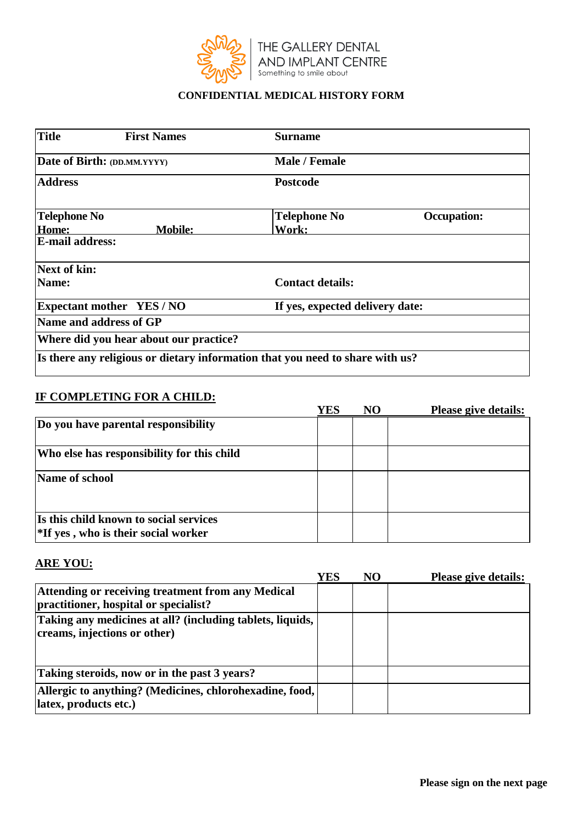

### **CONFIDENTIAL MEDICAL HISTORY FORM**

| <b>Title</b>                | <b>First Names</b>                     | <b>Surname</b>                                                                |                                 |  |  |  |
|-----------------------------|----------------------------------------|-------------------------------------------------------------------------------|---------------------------------|--|--|--|
| Date of Birth: (DD.MM.YYYY) |                                        | Male / Female                                                                 |                                 |  |  |  |
| <b>Address</b>              |                                        | <b>Postcode</b>                                                               |                                 |  |  |  |
| <b>Telephone No</b>         |                                        | <b>Telephone No</b>                                                           | <b>Occupation:</b>              |  |  |  |
| Home:                       | <b>Mobile:</b>                         | Work:                                                                         |                                 |  |  |  |
| <b>E-mail address:</b>      |                                        |                                                                               |                                 |  |  |  |
| <b>Next of kin:</b>         |                                        |                                                                               |                                 |  |  |  |
| Name:                       |                                        | <b>Contact details:</b>                                                       |                                 |  |  |  |
|                             | <b>Expectant mother YES/NO</b>         |                                                                               | If yes, expected delivery date: |  |  |  |
|                             | Name and address of GP                 |                                                                               |                                 |  |  |  |
|                             | Where did you hear about our practice? |                                                                               |                                 |  |  |  |
|                             |                                        | Is there any religious or dietary information that you need to share with us? |                                 |  |  |  |

#### **IF COMPLETING FOR A CHILD:**

|                                                                                  | YES | N <sub>O</sub> | <b>Please give details:</b> |
|----------------------------------------------------------------------------------|-----|----------------|-----------------------------|
| Do you have parental responsibility                                              |     |                |                             |
| Who else has responsibility for this child                                       |     |                |                             |
| Name of school                                                                   |     |                |                             |
| Is this child known to social services<br>$*$ If yes, who is their social worker |     |                |                             |

# **ARE YOU:**

|                                                                                            | YES | NO | <b>Please give details:</b> |
|--------------------------------------------------------------------------------------------|-----|----|-----------------------------|
| Attending or receiving treatment from any Medical<br>practitioner, hospital or specialist? |     |    |                             |
| Taking any medicines at all? (including tablets, liquids,<br>creams, injections or other)  |     |    |                             |
| Taking steroids, now or in the past 3 years?                                               |     |    |                             |
| Allergic to anything? (Medicines, chlorohexadine, food,<br>latex, products etc.)           |     |    |                             |